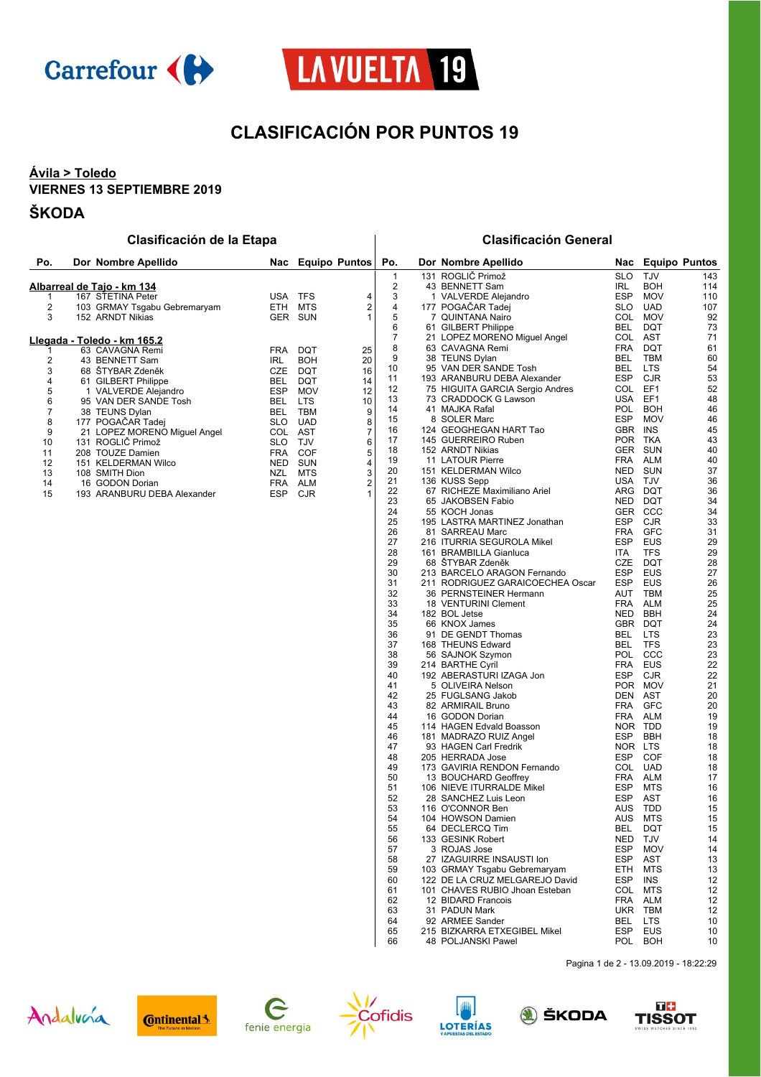



## **CLASIFICACIÓN POR PUNTOS 19**

**Clasificación de la Etapa Clasificación General**

### **Ávila > Toledo VIERNES 13 SEPTIEMBRE 2019**

#### **ŠKODA**

| Po.                        | Dor Nombre Apellido          |            |            | Nac Equipo Puntos | Po.            |            | Dor Nombre Apellido             | Nac        |                 | <b>Equipo Puntos</b> |
|----------------------------|------------------------------|------------|------------|-------------------|----------------|------------|---------------------------------|------------|-----------------|----------------------|
|                            |                              |            |            |                   |                |            | 131 ROGLIČ Primož               | <b>SLO</b> | <b>TJV</b>      | 143                  |
| Albarreal de Tajo - km 134 |                              |            |            |                   | 43 BENNETT Sam | <b>IRL</b> | <b>BOH</b>                      | 114        |                 |                      |
|                            | 167 STETINA Peter            | <b>USA</b> | <b>TFS</b> |                   |                |            | 1 VALVERDE Alejandro            | <b>ESP</b> | <b>MOV</b>      | 110                  |
| 2                          | 103 GRMAY Tsgabu Gebremaryam | ETH        | <b>MTS</b> | $\overline{2}$    |                | 177        | POGAČAR Tadej                   | <b>SLO</b> | <b>UAD</b>      | 107                  |
| 3                          | 152 ARNDT Nikias             | <b>GER</b> | <b>SUN</b> |                   | 5              |            | 7 QUINTANA Nairo                | COL        | <b>MOV</b>      | 92                   |
|                            |                              |            |            |                   |                |            | 61 GILBERT Philippe             | <b>BEL</b> | <b>DQT</b>      | 73                   |
|                            | Llegada - Toledo - km 165.2  |            |            |                   |                |            | 21 LOPEZ MORENO Miguel Angel    | COL        | <b>AST</b>      | 71                   |
|                            | 63 CAVAGNA Remi              | <b>FRA</b> | DQT        | 25                |                |            | 63 CAVAGNA Remi                 | <b>FRA</b> | <b>DQT</b>      | 61                   |
|                            | 43 BENNETT Sam               | <b>IRL</b> | <b>BOH</b> | 20                |                |            | 38 TEUNS Dylan                  | <b>BEL</b> | <b>TBM</b>      | 60                   |
| 3                          | 68 ŠTYBAR Zdeněk             | <b>CZE</b> | <b>DQT</b> | 16                | 10             |            | 95 VAN DER SANDE Tosh           | <b>BEL</b> | <b>LTS</b>      | 54                   |
| 4                          | 61 GILBERT Philippe          | <b>BEL</b> | <b>DQT</b> | 14                | 11             |            | 193 ARANBURU DEBA Alexander     | <b>ESP</b> | <b>CJR</b>      | 53                   |
| 5                          | 1 VALVERDE Alejandro         | <b>ESP</b> | <b>MOV</b> | 12                | 12             |            | 75 HIGUITA GARCIA Sergio Andres | COL        | EF <sub>1</sub> | 52                   |
| 6                          | 95 VAN DER SANDE Tosh        | <b>BEL</b> | <b>LTS</b> | 10                | 13             |            | 73 CRADDOCK G Lawson            | <b>USA</b> | EF <sub>1</sub> | 48                   |
|                            | 38 TEUNS Dylan               | <b>BEL</b> | TBM        | 9                 | 14             |            | 41 MAJKA Rafal                  | POL        | <b>BOH</b>      | 46                   |
| 8                          | 177 POGAČAR Tadej            | <b>SLO</b> | <b>UAD</b> |                   | 15             |            | 8 SOLER Marc                    | <b>ESP</b> | <b>MOV</b>      | 46                   |
| 9                          | 21 LOPEZ MORENO Miguel Angel | COL        | <b>AST</b> |                   | 16             | 124        | <b>GEOGHEGAN HART Tao</b>       | <b>GBR</b> | <b>INS</b>      | 45                   |
| 10                         | 131 ROGLIČ Primož            | <b>SLO</b> | <b>TJV</b> | 6                 | 17             |            | 145 GUERREIRO Ruben             | <b>POR</b> | <b>TKA</b>      | 43                   |
| 11                         | 208 TOUZE Damien             | <b>FRA</b> | <b>COF</b> |                   | 18             |            | 152 ARNDT Nikias                | <b>GER</b> | <b>SUN</b>      | 40                   |
| 12                         | 151 KELDERMAN Wilco          | <b>NED</b> | <b>SUN</b> |                   | 19             |            | 11 LATOUR Pierre                | <b>FRA</b> | <b>ALM</b>      | 40                   |
| 13                         | 108 SMITH Dion               | NZL        | <b>MTS</b> | 3                 | 20             |            | 151 KELDERMAN Wilco             | <b>NED</b> | <b>SUN</b>      | 37                   |
| 14                         | 16 GODON Dorian              | <b>FRA</b> | <b>ALM</b> |                   | 21             |            | 136 KUSS Sepp                   | USA        | <b>TJV</b>      | 36                   |
| 15                         | 193 ARANBURU DEBA Alexander  | <b>ESP</b> | <b>CJR</b> |                   | 22             |            | 67 RICHEZE Maximiliano Ariel    | ARG        | <b>DQT</b>      | 36                   |
|                            |                              |            |            |                   | 23             |            | 65 JAKOBSEN Fabio               | <b>NFD</b> | DOT             | 34                   |

| 3  | 1 | VALVERDE Alejandro               | ESP        | MOV             | 110 |
|----|---|----------------------------------|------------|-----------------|-----|
| 4  |   | 177 POGAČAR Tadej                | SLO        | <b>UAD</b>      | 107 |
| 5  |   | 7 QUINTANA Nairo                 | COL        | <b>MOV</b>      | 92  |
| 6  |   | 61 GILBERT Philippe              | <b>BEL</b> | <b>DQT</b>      | 73  |
| 7  |   | 21 LOPEZ MORENO Miguel Angel     | COL        | AST             | 71  |
|    |   |                                  |            |                 |     |
| 8  |   | 63 CAVAGNA Remi                  | <b>FRA</b> | DQT             | 61  |
| 9  |   | 38 TEUNS Dylan                   | <b>BEL</b> | TBM             | 60  |
| 10 |   | 95 VAN DER SANDE Tosh            | BEL        | LTS             | 54  |
| 11 |   | 193 ARANBURU DEBA Alexander      | <b>ESP</b> | CJR             | 53  |
| 12 |   | 75 HIGUITA GARCIA Sergio Andres  | <b>COL</b> | EF <sub>1</sub> | 52  |
| 13 |   | 73 CRADDOCK G Lawson             | <b>USA</b> | EF <sub>1</sub> | 48  |
|    |   |                                  |            |                 |     |
| 14 |   | 41 MAJKA Rafal                   | <b>POL</b> | <b>BOH</b>      | 46  |
| 15 |   | 8 SOLER Marc                     | <b>ESP</b> | <b>MOV</b>      | 46  |
| 16 |   | 124 GEOGHEGAN HART Tao           | GBR        | INS             | 45  |
| 17 |   | 145 GUERREIRO Ruben              | <b>POR</b> | <b>TKA</b>      | 43  |
| 18 |   | 152 ARNDT Nikias                 | GER        | <b>SUN</b>      | 40  |
| 19 |   | 11 LATOUR Pierre                 | <b>FRA</b> | ALM             | 40  |
| 20 |   | 151 KELDERMAN Wilco              | <b>NED</b> | <b>SUN</b>      | 37  |
|    |   |                                  |            |                 |     |
| 21 |   | 136 KUSS Sepp                    | <b>USA</b> | TJV             | 36  |
| 22 |   | 67 RICHEZE Maximiliano Ariel     | ARG        | DQT             | 36  |
| 23 |   | 65 JAKOBSEN Fabio                | <b>NED</b> | DQT             | 34  |
| 24 |   | 55 KOCH Jonas                    | <b>GER</b> | CCC             | 34  |
| 25 |   | 195 LASTRA MARTINEZ Jonathan     | <b>ESP</b> | CJR             | 33  |
| 26 |   | 81 SARREAU Marc                  | <b>FRA</b> | <b>GFC</b>      | 31  |
|    |   |                                  |            |                 |     |
| 27 |   | 216 ITURRIA SEGUROLA Mikel       | <b>ESP</b> | EUS             | 29  |
| 28 |   | 161 BRAMBILLA Gianluca           | <b>ITA</b> | <b>TFS</b>      | 29  |
| 29 |   | 68 STYBAR Zdeněk                 | CZE        | DQT             | 28  |
| 30 |   | 213 BARCELO ARAGON Fernando      | <b>ESP</b> | EUS             | 27  |
| 31 |   | 211 RODRIGUEZ GARAICOECHEA Oscar | <b>ESP</b> | EUS             | 26  |
| 32 |   | 36 PERNSTEINER Hermann           | AUT        | TBM             | 25  |
| 33 |   | 18 VENTURINI Clement             | <b>FRA</b> | ALM             | 25  |
| 34 |   | 182 BOL Jetse                    | NED        | <b>BBH</b>      | 24  |
|    |   |                                  |            |                 | 24  |
| 35 |   | 66 KNOX James                    | GBR        | <b>DQT</b>      |     |
| 36 |   | 91 DE GENDT Thomas               | BEL        | LTS             | 23  |
| 37 |   | 168 THEUNS Edward                | <b>BEL</b> | <b>TFS</b>      | 23  |
| 38 |   | 56 SAJNOK Szymon                 | <b>POL</b> | CCC             | 23  |
| 39 |   | 214 BARTHE Cyril                 | <b>FRA</b> | EUS             | 22  |
| 40 |   | 192 ABERASTURI IZAGA Jon         | <b>ESP</b> | CJR             | 22  |
| 41 |   | 5 OLIVEIRA Nelson                | <b>POR</b> | <b>MOV</b>      | 21  |
| 42 |   | 25 FUGLSANG Jakob                | <b>DEN</b> | AST             |     |
|    |   |                                  |            |                 | 20  |
| 43 |   | 82 ARMIRAIL Bruno                | <b>FRA</b> | GFC             | 20  |
| 44 |   | 16 GODON Dorian                  | <b>FRA</b> | ALM             | 19  |
| 45 |   | 114 HAGEN Edvald Boasson         | <b>NOR</b> | <b>TDD</b>      | 19  |
| 46 |   | 181 MADRAZO RUIZ Angel           | <b>ESP</b> | BBH             | 18  |
| 47 |   | 93 HAGEN Carl Fredrik            | <b>NOR</b> | LTS             | 18  |
| 48 |   | 205 HERRADA Jose                 | <b>ESP</b> | <b>COF</b>      | 18  |
| 49 |   | 173 GAVIRIA RENDON Fernando      | COL        | UAD             | 18  |
|    |   |                                  |            |                 |     |
| 50 |   | 13 BOUCHARD Geoffrey             | <b>FRA</b> | ALM             | 17  |
| 51 |   | 106 NIEVE ITURRALDE Mikel        | <b>ESP</b> | <b>MTS</b>      | 16  |
| 52 |   | 28 SANCHEZ Luis Leon             | <b>ESP</b> | AST             | 16  |
| 53 |   | 116 O'CONNOR Ben                 | AUS        | <b>TDD</b>      | 15  |
| 54 |   | 104 HOWSON Damien                | AUS        | <b>MTS</b>      | 15  |
| 55 |   | 64 DECLERCQ Tim                  | <b>BEL</b> | <b>DQT</b>      | 15  |
| 56 |   | 133 GESINK Robert                | <b>NED</b> | TJV             | 14  |
|    |   |                                  |            |                 |     |
| 57 |   | 3 ROJAS Jose                     | <b>ESP</b> | <b>MOV</b>      | 14  |
| 58 |   | 27 IZAGUIRRE INSAUSTI Ion        | <b>ESP</b> | <b>AST</b>      | 13  |
| 59 |   | 103 GRMAY Tsgabu Gebremaryam     | ETH        | MTS             | 13  |
| 60 |   | 122 DE LA CRUZ MELGAREJO David   | <b>ESP</b> | <b>INS</b>      | 12  |
| 61 |   | 101 CHAVES RUBIO Jhoan Esteban   | COL        | MTS             | 12  |
| 62 |   | 12 BIDARD Francois               | <b>FRA</b> | <b>ALM</b>      | 12  |
| 63 |   | 31 PADUN Mark                    | <b>UKR</b> | TBM             | 12  |
|    |   |                                  |            |                 |     |
| 64 |   | 92 ARMEE Sander                  | <b>BEL</b> | LTS             | 10  |
| 65 |   | 215 BIZKARRA ETXEGIBEL Mikel     | ESP        | EUS             | 10  |
| 66 |   | 48 POLJANSKI Pawel               | POL        | BOH             | 10  |

Pagina 1 de 2 - 13.09.2019 - 18:22:29